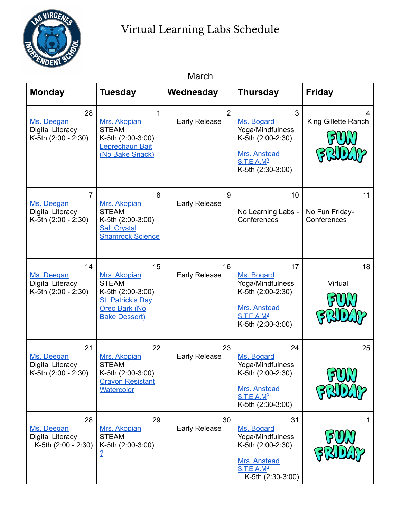

| March                                                                          |                                                                                                                                     |                                        |                                                                                                                            |                                     |  |
|--------------------------------------------------------------------------------|-------------------------------------------------------------------------------------------------------------------------------------|----------------------------------------|----------------------------------------------------------------------------------------------------------------------------|-------------------------------------|--|
| <b>Monday</b>                                                                  | <b>Tuesday</b>                                                                                                                      | Wednesday                              | <b>Thursday</b>                                                                                                            | <b>Friday</b>                       |  |
| 28<br>Ms. Deegan<br><b>Digital Literacy</b><br>K-5th (2:00 - 2:30)             | 1<br>Mrs. Akopian<br><b>STEAM</b><br>K-5th (2:00-3:00)<br>Leprechaun Bait<br>(No Bake Snack)                                        | $\overline{2}$<br><b>Early Release</b> | 3<br>Ms. Bogard<br>Yoga/Mindfulness<br>K-5th (2:00-2:30)<br>Mrs. Anstead<br>$S$ .T.E.A.M <sup>3</sup><br>K-5th (2:30-3:00) | King Gillette Ranch                 |  |
| $\overline{7}$<br>Ms. Deegan<br><b>Digital Literacy</b><br>K-5th (2:00 - 2:30) | 8<br>Mrs. Akopian<br><b>STEAM</b><br>K-5th (2:00-3:00)<br><b>Salt Crystal</b><br><b>Shamrock Science</b>                            | 9<br><b>Early Release</b>              | 10<br>No Learning Labs -<br>Conferences                                                                                    | 11<br>No Fun Friday-<br>Conferences |  |
| 14<br>Ms. Deegan<br><b>Digital Literacy</b><br>K-5th (2:00 - 2:30)             | 15<br>Mrs. Akopian<br><b>STEAM</b><br>K-5th (2:00-3:00)<br><b>St. Patrick's Day</b><br><b>Oreo Bark (No</b><br><b>Bake Dessert)</b> | 16<br><b>Early Release</b>             | 17<br>Ms. Bogard<br>Yoga/Mindfulness<br>K-5th (2:00-2:30)<br>Mrs. Anstead<br>S.T.E.A.M <sup>3</sup><br>K-5th (2:30-3:00)   | 18<br>Virtual                       |  |
| 21<br>Ms. Deegan<br><b>Digital Literacy</b><br>K-5th (2:00 - 2:30)             | 22<br>Mrs. Akopian<br><b>STEAM</b><br>K-5th (2:00-3:00)<br><b>Cravon Resistant</b><br>Watercolor                                    | 23<br><b>Early Release</b>             | 24<br>Ms. Bogard<br>Yoga/Mindfulness<br>K-5th (2:00-2:30)<br>Mrs. Anstead<br>S.T.E.A.M <sup>3</sup><br>K-5th (2:30-3:00)   | 25                                  |  |
| 28<br>Ms. Deegan<br><b>Digital Literacy</b><br>K-5th (2:00 - 2:30)             | 29<br>Mrs. Akopian<br><b>STEAM</b><br>K-5th (2:00-3:00)<br><u>2</u>                                                                 | 30<br><b>Early Release</b>             | 31<br>Ms. Bogard<br>Yoga/Mindfulness<br>K-5th (2:00-2:30)<br>Mrs. Anstead<br>S.T.E.A.M <sup>3</sup><br>K-5th (2:30-3:00)   |                                     |  |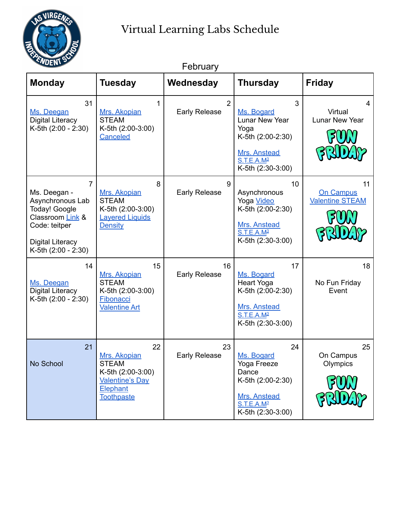

| <u>VUEN D</u><br>February                                                                                                                                  |                                                                                                                    |                            |                                                                                                                               |                                           |
|------------------------------------------------------------------------------------------------------------------------------------------------------------|--------------------------------------------------------------------------------------------------------------------|----------------------------|-------------------------------------------------------------------------------------------------------------------------------|-------------------------------------------|
| <b>Monday</b>                                                                                                                                              | <b>Tuesday</b>                                                                                                     | Wednesday                  | <b>Thursday</b>                                                                                                               | <b>Friday</b>                             |
| 31<br>Ms. Deegan<br><b>Digital Literacy</b><br>K-5th (2:00 - 2:30)                                                                                         | 1<br>Mrs. Akopian<br><b>STEAM</b><br>K-5th (2:00-3:00)<br><b>Canceled</b>                                          | 2<br><b>Early Release</b>  | 3<br>Ms. Bogard<br>Lunar New Year<br>Yoga<br>K-5th (2:00-2:30)<br>Mrs. Anstead<br>S.T.E.A.M <sup>3</sup><br>K-5th (2:30-3:00) | 4<br>Virtual<br><b>Lunar New Year</b>     |
| $\overline{7}$<br>Ms. Deegan -<br>Asynchronous Lab<br>Today! Google<br>Classroom Link &<br>Code: teitper<br><b>Digital Literacy</b><br>K-5th (2:00 - 2:30) | 8<br>Mrs. Akopian<br><b>STEAM</b><br>K-5th (2:00-3:00)<br><b>Layered Liquids</b><br><b>Density</b>                 | 9<br><b>Early Release</b>  | 10<br>Asynchronous<br>Yoga Video<br>K-5th (2:00-2:30)<br>Mrs. Anstead<br>S.T.E.A.M <sup>3</sup><br>K-5th (2:30-3:00)          | 11<br>On Campus<br><b>Valentine STEAM</b> |
| 14<br>Ms. Deegan<br><b>Digital Literacy</b><br>K-5th (2:00 - 2:30)                                                                                         | 15<br>Mrs. Akopian<br><b>STEAM</b><br>K-5th (2:00-3:00)<br>Fibonacci<br><b>Valentine Art</b>                       | 16<br><b>Early Release</b> | 17<br>Ms. Bogard<br><b>Heart Yoga</b><br>K-5th (2:00-2:30)<br>Mrs. Anstead<br>S.T.E.A.M <sup>3</sup><br>K-5th (2:30-3:00)     | 18<br>No Fun Friday<br>Event              |
| 21<br>No School                                                                                                                                            | 22<br>Mrs. Akopian<br><b>STEAM</b><br>K-5th (2:00-3:00)<br><b>Valentine's Day</b><br>Elephant<br><b>Toothpaste</b> | 23<br><b>Early Release</b> | 24<br>Ms. Bogard<br>Yoga Freeze<br>Dance<br>K-5th (2:00-2:30)<br>Mrs. Anstead<br>S.T.E.A.M <sup>3</sup><br>K-5th (2:30-3:00)  | 25<br>On Campus<br>Olympics               |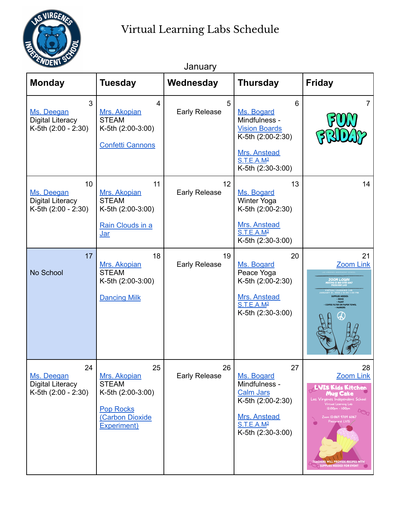

| <u>UEW.</u>                                                        |                                                                                                               | January                    |                                                                                                                                              |                                                                                                                                                                                                                                                             |
|--------------------------------------------------------------------|---------------------------------------------------------------------------------------------------------------|----------------------------|----------------------------------------------------------------------------------------------------------------------------------------------|-------------------------------------------------------------------------------------------------------------------------------------------------------------------------------------------------------------------------------------------------------------|
| <b>Monday</b>                                                      | <b>Tuesday</b>                                                                                                | Wednesday                  | <b>Thursday</b>                                                                                                                              | <b>Friday</b>                                                                                                                                                                                                                                               |
| 3<br>Ms. Deegan<br><b>Digital Literacy</b><br>K-5th (2:00 - 2:30)  | 4<br>Mrs. Akopian<br><b>STEAM</b><br>K-5th (2:00-3:00)<br><b>Confetti Cannons</b>                             | 5<br><b>Early Release</b>  | 6<br>Ms. Bogard<br>Mindfulness -<br><b>Vision Boards</b><br>K-5th (2:00-2:30)<br>Mrs. Anstead<br>S.T.E.A.M <sup>3</sup><br>K-5th (2:30-3:00) | $\overline{7}$                                                                                                                                                                                                                                              |
| 10<br>Ms. Deegan<br><b>Digital Literacy</b><br>K-5th (2:00 - 2:30) | 11<br>Mrs. Akopian<br><b>STEAM</b><br>K-5th (2:00-3:00)<br>Rain Clouds in a<br><u>Jar</u>                     | 12<br><b>Early Release</b> | 13<br>Ms. Bogard<br>Winter Yoga<br>K-5th (2:00-2:30)<br>Mrs. Anstead<br>S.T.E.A.M <sup>3</sup><br>K-5th (2:30-3:00)                          | 14                                                                                                                                                                                                                                                          |
| 17<br>No School                                                    | 18<br>Mrs. Akopian<br><b>STEAM</b><br>K-5th (2:00-3:00)<br><b>Dancing Milk</b>                                | 19<br><b>Early Release</b> | 20<br>Ms. Bogard<br>Peace Yoga<br>K-5th (2:00-2:30)<br>Mrs. Anstead<br>S.T.E.A.M <sup>3</sup><br>K-5th (2:30-3:00)                           | 21<br><b>Zoom Link</b><br>OOM LOGIN<br><b>JPPLIES NEEDED</b><br><b>ROCK</b><br><b>PAINT</b><br><b>FFEE FILTER OR PAPER TOWEL</b>                                                                                                                            |
| 24<br>Ms. Deegan<br><b>Digital Literacy</b><br>K-5th (2:00 - 2:30) | 25<br>Mrs. Akopian<br><b>STEAM</b><br>K-5th (2:00-3:00)<br><b>Pop Rocks</b><br>(Carbon Dioxide<br>Experiment) | 26<br><b>Early Release</b> | 27<br>Ms. Bogard<br>Mindfulness -<br><b>Calm Jars</b><br>K-5th (2:00-2:30)<br>Mrs. Anstead<br>S.T.E.A.M <sup>3</sup><br>K-5th (2:30-3:00)    | 28<br><b>Zoom Link</b><br>LVIS Kids Kitchen<br>Mug Cake<br>Las Virgenes Independent School<br>Virtual Learning Lab<br>12:00pm - 1:00pm<br>Coom ID:869 9709 6067<br>Password: LVIS<br><b>TEACHERS WILL PROVIDE RECIPES WITH</b><br>SUPPLIES NEEDED FOR EVENT |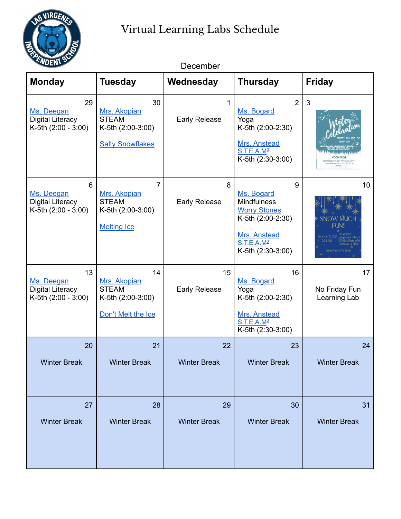

| "UEN'                                                              |                                                                                    | December                   |                                                                                                                                                  |                                                                                      |
|--------------------------------------------------------------------|------------------------------------------------------------------------------------|----------------------------|--------------------------------------------------------------------------------------------------------------------------------------------------|--------------------------------------------------------------------------------------|
| <b>Monday</b>                                                      | <b>Tuesday</b>                                                                     | Wednesday                  | <b>Thursday</b>                                                                                                                                  | <b>Friday</b>                                                                        |
| 29<br>Ms. Deegan<br><b>Digital Literacy</b><br>K-5th (2:00 - 3:00) | 30<br>Mrs. Akopian<br><b>STEAM</b><br>K-5th (2:00-3:00)<br><b>Salty Snowflakes</b> | 1<br><b>Early Release</b>  | $\overline{2}$<br>Ms. Bogard<br>Yoga<br>K-5th (2:00-2:30)<br>Mrs. Anstead<br>S.T.E.A.M <sup>3</sup><br>K-5th (2:30-3:00)                         | 3<br><b>COD DRIVI</b><br>NNG A NON-PERISHABLE ITEM<br><b>RIBLITE TO OUR LWS FOOL</b> |
| 6<br>Ms. Deegan<br><b>Digital Literacy</b><br>K-5th (2:00 - 3:00)  | 7<br>Mrs. Akopian<br><b>STEAM</b><br>K-5th (2:00-3:00)<br><b>Melting Ice</b>       | 8<br><b>Early Release</b>  | 9<br>Ms. Bogard<br><b>Mindfulness</b><br><b>Worry Stones</b><br>K-5th (2:00-2:30)<br>Mrs. Anstead<br>S.T.E.A.M <sup>3</sup><br>K-5th (2:30-3:00) | 10 <sup>°</sup><br><b>SNOW MUG</b><br><b>FUN!!</b>                                   |
| 13<br>Ms. Deegan<br><b>Digital Literacy</b><br>K-5th (2:00 - 3:00) | 14<br>Mrs. Akopian<br><b>STEAM</b><br>K-5th (2:00-3:00)<br>Don't Melt the Ice      | 15<br><b>Early Release</b> | 16<br>Ms. Bogard<br>Yoga<br>K-5th (2:00-2:30)<br>Mrs. Anstead<br>S.T.E.A.M <sup>3</sup><br>K-5th (2:30-3:00)                                     | 17<br>No Friday Fun<br>Learning Lab                                                  |
| 20<br><b>Winter Break</b>                                          | 21<br><b>Winter Break</b>                                                          | 22<br><b>Winter Break</b>  | 23<br><b>Winter Break</b>                                                                                                                        | 24<br><b>Winter Break</b>                                                            |
| 27<br><b>Winter Break</b>                                          | 28<br><b>Winter Break</b>                                                          | 29<br><b>Winter Break</b>  | 30<br><b>Winter Break</b>                                                                                                                        | 31<br><b>Winter Break</b>                                                            |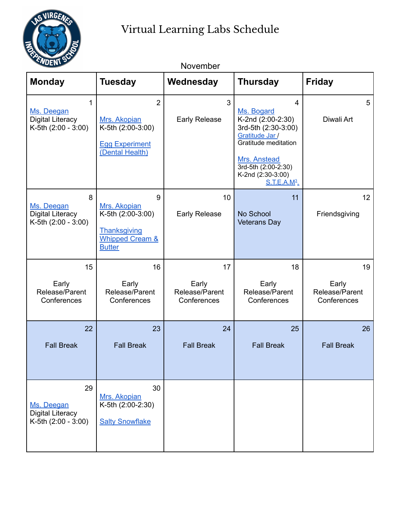

| <b>Monday</b>                                                      | <b>Tuesday</b>                                                                                        | Wednesday                                    | <b>Thursday</b>                                                                                                                                                                                                      | <b>Friday</b>                                |
|--------------------------------------------------------------------|-------------------------------------------------------------------------------------------------------|----------------------------------------------|----------------------------------------------------------------------------------------------------------------------------------------------------------------------------------------------------------------------|----------------------------------------------|
| 1<br>Ms. Deegan<br><b>Digital Literacy</b><br>K-5th (2:00 - 3:00)  | $\overline{2}$<br>Mrs. Akopian<br>K-5th (2:00-3:00)<br><b>Egg Experiment</b><br>(Dental Health)       | 3<br><b>Early Release</b>                    | $\overline{\mathbf{4}}$<br>Ms. Bogard<br>K-2nd (2:00-2:30)<br>3rd-5th (2:30-3:00)<br>Gratitude Jar /<br>Gratitude meditation<br>Mrs. Anstead<br>3rd-5th (2:00-2:30)<br>K-2nd (2:30-3:00)<br>S.T.E.A.M <sup>3</sup> . | 5<br>Diwali Art                              |
| 8<br>Ms. Deegan<br><b>Digital Literacy</b><br>K-5th (2:00 - 3:00)  | 9<br>Mrs. Akopian<br>K-5th (2:00-3:00)<br>Thanksgiving<br><b>Whipped Cream &amp;</b><br><b>Butter</b> | 10<br><b>Early Release</b>                   | 11<br>No School<br><b>Veterans Day</b>                                                                                                                                                                               | 12<br>Friendsgiving                          |
| 15<br>Early<br>Release/Parent<br>Conferences                       | 16<br>Early<br>Release/Parent<br>Conferences                                                          | 17<br>Early<br>Release/Parent<br>Conferences | 18<br>Early<br>Release/Parent<br>Conferences                                                                                                                                                                         | 19<br>Early<br>Release/Parent<br>Conferences |
| 22<br><b>Fall Break</b>                                            | 23<br><b>Fall Break</b>                                                                               | 24<br><b>Fall Break</b>                      | 25<br><b>Fall Break</b>                                                                                                                                                                                              | 26<br><b>Fall Break</b>                      |
| 29<br>Ms. Deegan<br><b>Digital Literacy</b><br>K-5th (2:00 - 3:00) | 30<br>Mrs. Akopian<br>K-5th (2:00-2:30)<br><b>Salty Snowflake</b>                                     |                                              |                                                                                                                                                                                                                      |                                              |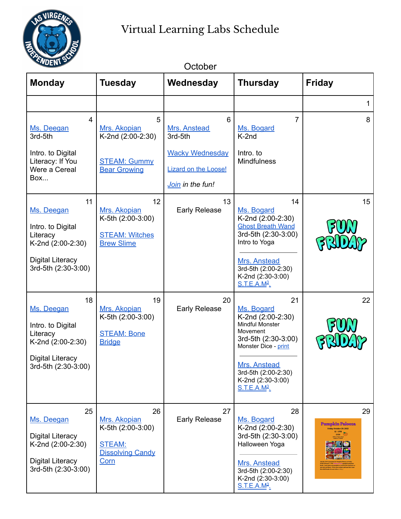

| UENL<br>October                                                                                                          |                                                                                             |                                                                                                           |                                                                                                                                                                                                                  |                                                                                                                                                                                            |
|--------------------------------------------------------------------------------------------------------------------------|---------------------------------------------------------------------------------------------|-----------------------------------------------------------------------------------------------------------|------------------------------------------------------------------------------------------------------------------------------------------------------------------------------------------------------------------|--------------------------------------------------------------------------------------------------------------------------------------------------------------------------------------------|
| <b>Monday</b>                                                                                                            | <b>Tuesday</b>                                                                              | Wednesday                                                                                                 | <b>Thursday</b>                                                                                                                                                                                                  | <b>Friday</b>                                                                                                                                                                              |
|                                                                                                                          |                                                                                             |                                                                                                           |                                                                                                                                                                                                                  | 1                                                                                                                                                                                          |
| 4<br>Ms. Deegan<br>3rd-5th<br>Intro. to Digital<br>Literacy: If You<br>Were a Cereal<br>Box                              | 5<br>Mrs. Akopian<br>K-2nd (2:00-2:30)<br><b>STEAM: Gummy</b><br><b>Bear Growing</b>        | 6<br>Mrs. Anstead<br>3rd-5th<br><b>Wacky Wednesday</b><br><b>Lizard on the Loose!</b><br>Join in the fun! | $\overline{7}$<br>Ms. Bogard<br>K-2nd<br>Intro. to<br><b>Mindfulness</b>                                                                                                                                         | 8                                                                                                                                                                                          |
| 11<br>Ms. Deegan<br>Intro. to Digital<br>Literacy<br>K-2nd (2:00-2:30)<br><b>Digital Literacy</b><br>3rd-5th (2:30-3:00) | 12<br>Mrs. Akopian<br>K-5th (2:00-3:00)<br><b>STEAM: Witches</b><br><b>Brew Slime</b>       | 13<br><b>Early Release</b>                                                                                | 14<br>Ms. Bogard<br>K-2nd (2:00-2:30)<br><b>Ghost Breath Wand</b><br>3rd-5th (2:30-3:00)<br>Intro to Yoga<br>Mrs. Anstead<br>3rd-5th (2:00-2:30)<br>K-2nd (2:30-3:00)<br>$S.T.E.A.M3$ .                          | 15                                                                                                                                                                                         |
| 18<br>Ms. Deegan<br>Intro. to Digital<br>Literacy<br>K-2nd (2:00-2:30)<br><b>Digital Literacy</b><br>3rd-5th (2:30-3:00) | 19<br>Mrs. Akopian<br>K-5th (2:00-3:00)<br><b>STEAM: Bone</b><br><b>Bridge</b>              | 20<br><b>Early Release</b>                                                                                | 21<br>Ms. Bogard<br>K-2nd (2:00-2:30)<br>Mindful Monster<br>Movement<br>3rd-5th (2:30-3:00)<br>Monster Dice - print<br>Mrs. Anstead<br>3rd-5th (2:00-2:30)<br>K-2nd (2:30-3:00)<br><u>S.T.E.A.M<sup>3</sup>.</u> | 22                                                                                                                                                                                         |
| 25<br>Ms. Deegan<br><b>Digital Literacy</b><br>K-2nd (2:00-2:30)<br><b>Digital Literacy</b><br>3rd-5th (2:30-3:00)       | 26<br>Mrs. Akopian<br>K-5th (2:00-3:00)<br><b>STEAM:</b><br><b>Dissolving Candy</b><br>Corn | 27<br><b>Early Release</b>                                                                                | 28<br>Ms. Bogard<br>K-2nd (2:00-2:30)<br>3rd-5th (2:30-3:00)<br>Halloween Yoga<br>Mrs. Anstead<br>3rd-5th (2:00-2:30)<br>K-2nd (2:30-3:00)<br><u>S.T.E.A.M<sup>3</sup>.</u>                                      | 29<br>Pumpkin Palooza<br>Friday October 29, 2021<br>$\begin{tabular}{c} 12 - 1 PM \\ LMS \\ \hline 1.018 \\ \hline 0.014 \\ 0.004 \\ \hline 0.004 \\ \hline \end{tabular}$<br><b>EX 00</b> |